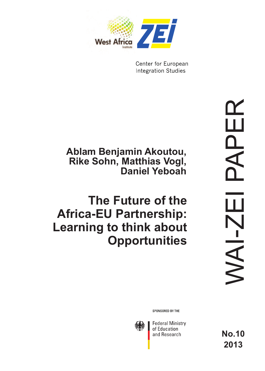

Center for European **Integration Studies** 

## **Ablam Benjamin Akoutou, Rike Sohn, Matthias Vogl, Daniel Yeboah**

# **The Future of the Africa-EU Partnership: Learning to think about Opportunities**

SPONSORED BY THE



**Federal Ministry** of Education and Research

**No.10 2013**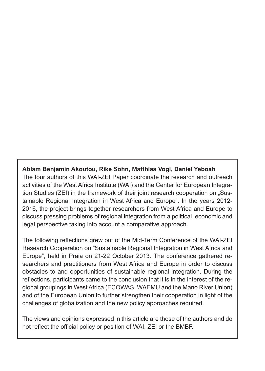#### **Ablam Benjamin Akoutou, Rike Sohn, Matthias Vogl, Daniel Yeboah**

The four authors of this WAI-ZEI Paper coordinate the research and outreach activities of the West Africa Institute (WAI) and the Center for European Integration Studies (ZEI) in the framework of their joint research cooperation on "Sustainable Regional Integration in West Africa and Europe". In the years 2012- 2016, the project brings together researchers from West Africa and Europe to discuss pressing problems of regional integration from a political, economic and legal perspective taking into account a comparative approach.

The following reflections grew out of the Mid-Term Conference of the WAI-ZEI Research Cooperation on "Sustainable Regional Integration in West Africa and Europe", held in Praia on 21-22 October 2013. The conference gathered researchers and practitioners from West Africa and Europe in order to discuss obstacles to and opportunities of sustainable regional integration. During the reflections, participants came to the conclusion that it is in the interest of the regional groupings in West Africa (ECOWAS, WAEMU and the Mano River Union) and of the European Union to further strengthen their cooperation in light of the challenges of globalization and the new policy approaches required.

The views and opinions expressed in this article are those of the authors and do not reflect the official policy or position of WAI, ZEI or the BMBF.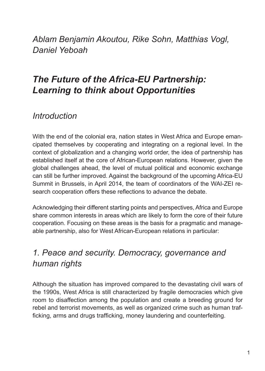*Ablam Benjamin Akoutou, Rike Sohn, Matthias Vogl, Daniel Yeboah* 

## *The Future of the Africa-EU Partnership: Learning to think about Opportunities*

## *Introduction*

With the end of the colonial era, nation states in West Africa and Europe emancipated themselves by cooperating and integrating on a regional level. In the context of globalization and a changing world order, the idea of partnership has established itself at the core of African-European relations. However, given the global challenges ahead, the level of mutual political and economic exchange can still be further improved. Against the background of the upcoming Africa-EU Summit in Brussels, in April 2014, the team of coordinators of the WAI-ZEI research cooperation offers these reflections to advance the debate.

Acknowledging their different starting points and perspectives, Africa and Europe share common interests in areas which are likely to form the core of their future cooperation. Focusing on these areas is the basis for a pragmatic and manageable partnership, also for West African-European relations in particular:

## *1. Peace and security. Democracy, governance and human rights*

Although the situation has improved compared to the devastating civil wars of the 1990s, West Africa is still characterized by fragile democracies which give room to disaffection among the population and create a breeding ground for rebel and terrorist movements, as well as organized crime such as human trafficking, arms and drugs trafficking, money laundering and counterfeiting.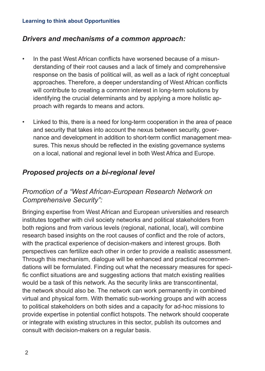#### **Learning to think about Opportunities**

#### *Drivers and mechanisms of a common approach:*

- In the past West African conflicts have worsened because of a misunderstanding of their root causes and a lack of timely and comprehensive response on the basis of political will, as well as a lack of right conceptual approaches. Therefore, a deeper understanding of West African conflicts will contribute to creating a common interest in long-term solutions by identifying the crucial determinants and by applying a more holistic approach with regards to means and actors.
- Linked to this, there is a need for long-term cooperation in the area of peace and security that takes into account the nexus between security, governance and development in addition to short-term conflict management measures. This nexus should be reflected in the existing governance systems on a local, national and regional level in both West Africa and Europe.

### *Proposed projects on a bi-regional level*

## *Promotion of a "West African-European Research Network on Comprehensive Security":*

Bringing expertise from West African and European universities and research institutes together with civil society networks and political stakeholders from both regions and from various levels (regional, national, local), will combine research based insights on the root causes of conflict and the role of actors, with the practical experience of decision-makers and interest groups. Both perspectives can fertilize each other in order to provide a realistic assessment. Through this mechanism, dialogue will be enhanced and practical recommendations will be formulated. Finding out what the necessary measures for specific conflict situations are and suggesting actions that match existing realities would be a task of this network. As the security links are transcontinental, the network should also be. The network can work permanently in combined virtual and physical form. With thematic sub-working groups and with access to political stakeholders on both sides and a capacity for ad-hoc missions to provide expertise in potential conflict hotspots. The network should cooperate or integrate with existing structures in this sector, publish its outcomes and consult with decision-makers on a regular basis.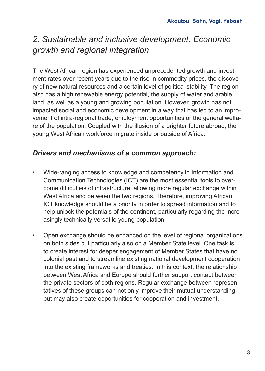## *2. Sustainable and inclusive development. Economic growth and regional integration*

The West African region has experienced unprecedented growth and investment rates over recent years due to the rise in commodity prices, the discovery of new natural resources and a certain level of political stability. The region also has a high renewable energy potential, the supply of water and arable land, as well as a young and growing population. However, growth has not impacted social and economic development in a way that has led to an improvement of intra-regional trade, employment opportunities or the general welfare of the population. Coupled with the illusion of a brighter future abroad, the young West African workforce migrate inside or outside of Africa.

## *Drivers and mechanisms of a common approach:*

- Wide-ranging access to knowledge and competency in Information and Communication Technologies (ICT) are the most essential tools to overcome difficulties of infrastructure, allowing more regular exchange within West Africa and between the two regions. Therefore, improving African ICT knowledge should be a priority in order to spread information and to help unlock the potentials of the continent, particularly regarding the increasingly technically versatile young population.
- Open exchange should be enhanced on the level of regional organizations on both sides but particularly also on a Member State level. One task is to create interest for deeper engagement of Member States that have no colonial past and to streamline existing national development cooperation into the existing frameworks and treaties. In this context, the relationship between West Africa and Europe should further support contact between the private sectors of both regions. Regular exchange between representatives of these groups can not only improve their mutual understanding but may also create opportunities for cooperation and investment.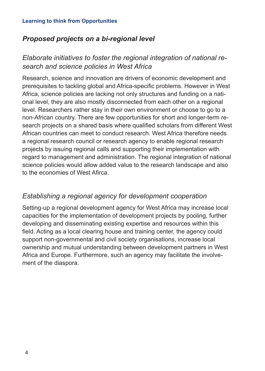## *Proposed projects on a bi-regional level*

## *Elaborate initiatives to foster the regional integration of national research and science policies in West Africa*

Research, science and innovation are drivers of economic development and prerequisites to tackling global and Africa-specific problems. However in West Africa, science policies are lacking not only structures and funding on a national level, they are also mostly disconnected from each other on a regional level. Researchers rather stay in their own environment or choose to go to a non-African country. There are few opportunities for short and longer-term research projects on a shared basis where qualified scholars from different West African countries can meet to conduct research. West Africa therefore needs a regional research council or research agency to enable regional research projects by issuing regional calls and supporting their implementation with regard to management and administration. The regional integration of national science policies would allow added value to the research landscape and also to the economies of West Afirca.

### *Establishing a regional agency for development cooperation*

Setting-up a regional development agency for West Africa may increase local capacities for the implementation of development projects by pooling, further developing and disseminating existing expertise and resources within this field. Acting as a local clearing house and training center, the agency could support non-governmental and civil society organisations, increase local ownership and mutual understanding between development partners in West Africa and Europe. Furthermore, such an agency may facilitate the involvement of the diaspora.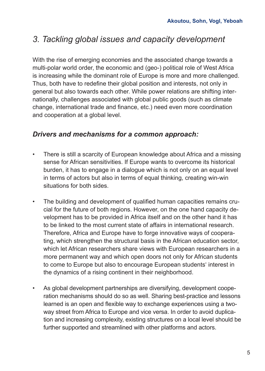## *3. Tackling global issues and capacity development*

With the rise of emerging economies and the associated change towards a multi-polar world order, the economic and (geo-) political role of West Africa is increasing while the dominant role of Europe is more and more challenged. Thus, both have to redefine their global position and interests, not only in general but also towards each other. While power relations are shifting internationally, challenges associated with global public goods (such as climate change, international trade and finance, etc.) need even more coordination and cooperation at a global level.

#### *Drivers and mechanisms for a common approach:*

- There is still a scarcity of European knowledge about Africa and a missing sense for African sensitivities. If Europe wants to overcome its historical burden, it has to engage in a dialogue which is not only on an equal level in terms of actors but also in terms of equal thinking, creating win-win situations for both sides.
- The building and development of qualified human capacities remains crucial for the future of both regions. However, on the one hand capacity development has to be provided in Africa itself and on the other hand it has to be linked to the most current state of affairs in international research. Therefore, Africa and Europe have to forge innovative ways of cooperating, which strengthen the structural basis in the African education sector, which let African researchers share views with European researchers in a more permanent way and which open doors not only for African students to come to Europe but also to encourage European students' interest in the dynamics of a rising continent in their neighborhood.
- As global development partnerships are diversifying, development cooperation mechanisms should do so as well. Sharing best-practice and lessons learned is an open and flexible way to exchange experiences using a twoway street from Africa to Europe and vice versa. In order to avoid duplication and increasing complexity, existing structures on a local level should be further supported and streamlined with other platforms and actors.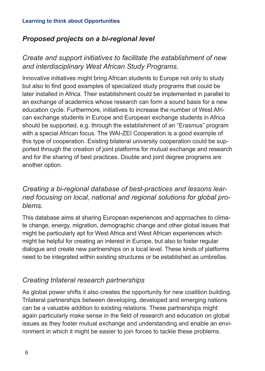## *Proposed projects on a bi-regional level*

## *Create and support initiatives to facilitate the establishment of new and interdisciplinary West African Study Programs.*

Innovative initiatives might bring African students to Europe not only to study but also to find good examples of specialized study programs that could be later installed in Africa. Their establishment could be implemented in parallel to an exchange of academics whose research can form a sound basis for a new education cycle. Furthermore, initiatives to increase the number of West African exchange students in Europe and European exchange students in Africa should be supported, e.g. through the establishment of an "Erasmus" program with a special African focus. The WAI-ZEI Cooperation is a good example of this type of cooperation. Existing bilateral university cooperation could be supported through the creation of joint platforms for mutual exchange and research and for the sharing of best practices. Double and joint degree programs are another option.

## *Creating a bi-regional database of best-practices and lessons learned focusing on local, national and regional solutions for global problems.*

This database aims at sharing European experiences and approaches to climate change, energy, migration, demographic change and other global issues that might be particularly apt for West Africa and West African experiences which might be helpful for creating an interest in Europe, but also to foster regular dialogue and create new partnerships on a local level. These kinds of platforms need to be integrated within existing structures or be established as umbrellas.

## *Creating trilateral research partnerships*

As global power shifts it also creates the opportunity for new coalition building. Trilateral partnerships between developing, developed and emerging nations can be a valuable addition to existing relations. These partnerships might again particularly make sense in the field of research and education on global issues as they foster mutual exchange and understanding and enable an environment in which it might be easier to join forces to tackle these problems.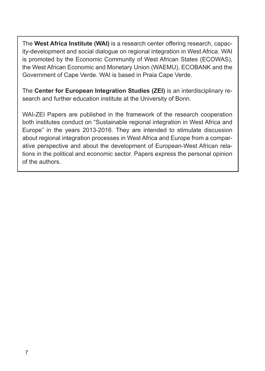The **West Africa Institute (WAI)** is a research center offering research, capacity-development and social dialogue on regional integration in West Africa. WAI is promoted by the Economic Community of West African States (ECOWAS), the West African Economic and Monetary Union (WAEMU), ECOBANK and the Government of Cape Verde. WAI is based in Praia Cape Verde.

The **Center for European Integration Studies (ZEI)** is an interdisciplinary research and further education institute at the University of Bonn.

WAI-ZEI Papers are published in the framework of the research cooperation both institutes conduct on "Sustainable regional integration in West Africa and Europe" in the years 2013-2016. They are intended to stimulate discussion about regional integration processes in West Africa and Europe from a comparative perspective and about the development of European-West African relations in the political and economic sector. Papers express the personal opinion of the authors.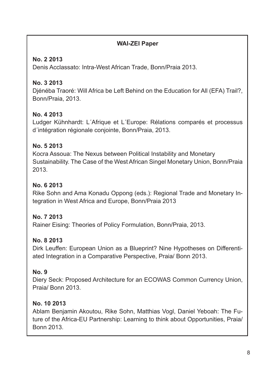### **WAI-ZEI Paper**

### **No. 2 2013**

Denis Acclassato: Intra-West African Trade, Bonn/Praia 2013.

## **No. 3 2013**

Djénéba Traoré: Will Africa be Left Behind on the Education for All (EFA) Trail?, Bonn/Praia, 2013.

## **No. 4 2013**

Ludger Kühnhardt: L´Afrique et L´Europe: Rélations comparés et processus d´intégration régionale conjointe, Bonn/Praia, 2013.

### **No. 5 2013**

Kocra Assoua: The Nexus between Political Instability and Monetary Sustainability. The Case of the West African Singel Monetary Union, Bonn/Praia 2013.

#### **No. 6 2013**

Rike Sohn and Ama Konadu Oppong (eds.): Regional Trade and Monetary Integration in West Africa and Europe, Bonn/Praia 2013

### **No. 7 2013**

Rainer Eising: Theories of Policy Formulation, Bonn/Praia, 2013.

### **No. 8 2013**

Dirk Leuffen: European Union as a Blueprint? Nine Hypotheses on Differentiated Integration in a Comparative Perspective, Praia/ Bonn 2013.

### **No. 9**

Diery Seck: Proposed Architecture for an ECOWAS Common Currency Union, Praia/ Bonn 2013.

### **No. 10 2013**

Ablam Benjamin Akoutou, Rike Sohn, Matthias Vogl, Daniel Yeboah: The Future of the Africa-EU Partnership: Learning to think about Opportunities, Praia/ Bonn 2013.